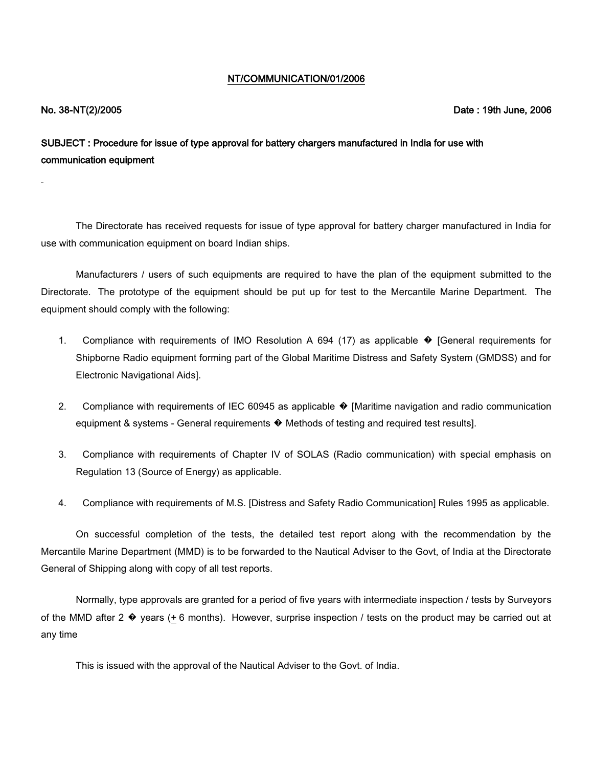## NT/COMMUNICATION/01/2006

## No. 38-NT(2)/2005 Date : 19th June, 2006

SUBJECT : Procedure for issue of type approval for battery chargers manufactured in India for use with communication equipment

The Directorate has received requests for issue of type approval for battery charger manufactured in India for use with communication equipment on board Indian ships.

Manufacturers / users of such equipments are required to have the plan of the equipment submitted to the Directorate. The prototype of the equipment should be put up for test to the Mercantile Marine Department. The equipment should comply with the following:

- 1. Compliance with requirements of IMO Resolution A 694 (17) as applicable � [General requirements for Shipborne Radio equipment forming part of the Global Maritime Distress and Safety System (GMDSS) and for Electronic Navigational Aids].
- 2. Compliance with requirements of IEC 60945 as applicable  $\bullet$  [Maritime navigation and radio communication equipment & systems - General requirements � Methods of testing and required test results].
- 3. Compliance with requirements of Chapter IV of SOLAS (Radio communication) with special emphasis on Regulation 13 (Source of Energy) as applicable.
- 4. Compliance with requirements of M.S. [Distress and Safety Radio Communication] Rules 1995 as applicable.

On successful completion of the tests, the detailed test report along with the recommendation by the Mercantile Marine Department (MMD) is to be forwarded to the Nautical Adviser to the Govt, of India at the Directorate General of Shipping along with copy of all test reports.

Normally, type approvals are granted for a period of five years with intermediate inspection / tests by Surveyors of the MMD after 2  $\bullet$  years (+6 months). However, surprise inspection / tests on the product may be carried out at any time

This is issued with the approval of the Nautical Adviser to the Govt. of India.